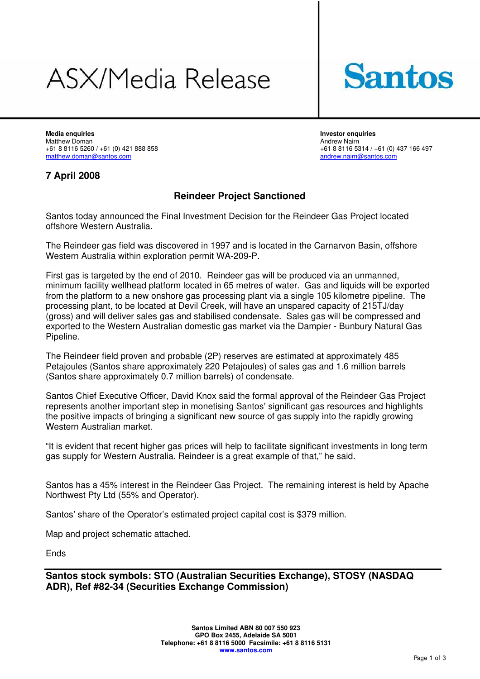# ASX/Media Release



**Media enquiries Investor enquiries**  +61 8 8116 5260 / +61 (0) 421 888 858<br>matthew.doman@santos.com

Matthew Doman (1992) 1999 10: Matthew Nairn (1992) 2008 10: Matthew Nairn (1993) 2009 10: Matthew Nairn (1993)<br>1991 10: 437 166 171 1992 10: 437 166 172 1898 116 172 1899 10: 461 1899 10: 461 1998 116 172 173 174 175 176 1 [andrew.nairn@santos.com](mailto:andrew.nairn@santos.com)

### **7 April 2008**

### **Reindeer Project Sanctioned**

Santos today announced the Final Investment Decision for the Reindeer Gas Project located offshore Western Australia.

The Reindeer gas field was discovered in 1997 and is located in the Carnarvon Basin, offshore Western Australia within exploration permit WA-209-P.

First gas is targeted by the end of 2010. Reindeer gas will be produced via an unmanned, minimum facility wellhead platform located in 65 metres of water. Gas and liquids will be exported from the platform to a new onshore gas processing plant via a single 105 kilometre pipeline. The processing plant, to be located at Devil Creek, will have an unspared capacity of 215TJ/day (gross) and will deliver sales gas and stabilised condensate. Sales gas will be compressed and exported to the Western Australian domestic gas market via the Dampier - Bunbury Natural Gas Pipeline.

The Reindeer field proven and probable (2P) reserves are estimated at approximately 485 Petajoules (Santos share approximately 220 Petajoules) of sales gas and 1.6 million barrels (Santos share approximately 0.7 million barrels) of condensate.

Santos Chief Executive Officer, David Knox said the formal approval of the Reindeer Gas Project represents another important step in monetising Santos' significant gas resources and highlights the positive impacts of bringing a significant new source of gas supply into the rapidly growing Western Australian market.

"It is evident that recent higher gas prices will help to facilitate significant investments in long term gas supply for Western Australia. Reindeer is a great example of that," he said.

Santos has a 45% interest in the Reindeer Gas Project. The remaining interest is held by Apache Northwest Pty Ltd (55% and Operator).

Santos' share of the Operator's estimated project capital cost is \$379 million.

Map and project schematic attached.

Ends

**Santos stock symbols: STO (Australian Securities Exchange), STOSY (NASDAQ ADR), Ref #82-34 (Securities Exchange Commission)**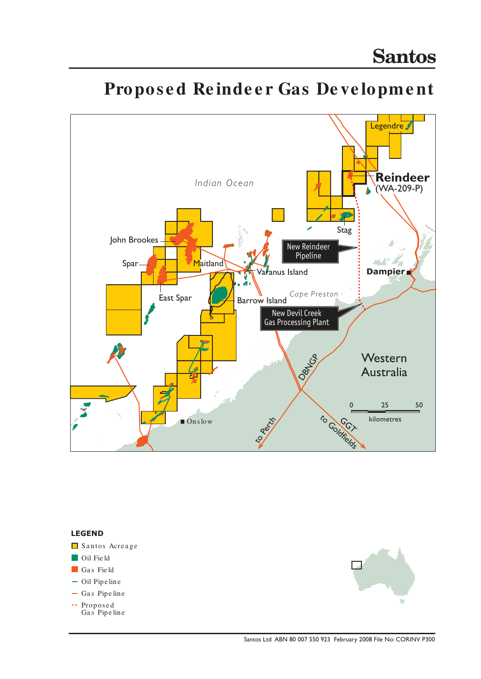

## Proposed Reindeer Gas Development

#### **LEGEND**

- Santos Acreage
- Oil Field
- Gas Field
- Oil Pipe line
- $-$  Gas Pipe line
- Propos e d Gas Pipe line